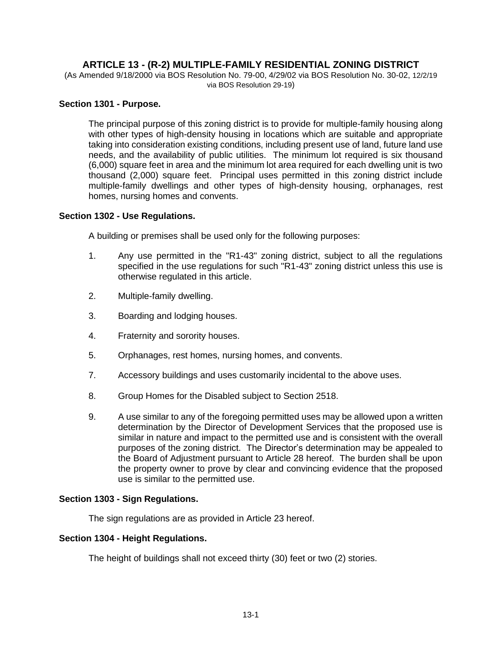# **ARTICLE 13 - (R-2) MULTIPLE-FAMILY RESIDENTIAL ZONING DISTRICT**

(As Amended 9/18/2000 via BOS Resolution No. 79-00, 4/29/02 via BOS Resolution No. 30-02, 12/2/19 via BOS Resolution 29-19)

### **Section 1301 - Purpose.**

The principal purpose of this zoning district is to provide for multiple-family housing along with other types of high-density housing in locations which are suitable and appropriate taking into consideration existing conditions, including present use of land, future land use needs, and the availability of public utilities. The minimum lot required is six thousand (6,000) square feet in area and the minimum lot area required for each dwelling unit is two thousand (2,000) square feet. Principal uses permitted in this zoning district include multiple-family dwellings and other types of high-density housing, orphanages, rest homes, nursing homes and convents.

#### **Section 1302 - Use Regulations.**

A building or premises shall be used only for the following purposes:

- 1. Any use permitted in the "R1-43" zoning district, subject to all the regulations specified in the use regulations for such "R1-43" zoning district unless this use is otherwise regulated in this article.
- 2. Multiple-family dwelling.
- 3. Boarding and lodging houses.
- 4. Fraternity and sorority houses.
- 5. Orphanages, rest homes, nursing homes, and convents.
- 7. Accessory buildings and uses customarily incidental to the above uses.
- 8. Group Homes for the Disabled subject to Section 2518.
- 9. A use similar to any of the foregoing permitted uses may be allowed upon a written determination by the Director of Development Services that the proposed use is similar in nature and impact to the permitted use and is consistent with the overall purposes of the zoning district. The Director's determination may be appealed to the Board of Adjustment pursuant to Article 28 hereof. The burden shall be upon the property owner to prove by clear and convincing evidence that the proposed use is similar to the permitted use.

#### **Section 1303 - Sign Regulations.**

The sign regulations are as provided in Article 23 hereof.

#### **Section 1304 - Height Regulations.**

The height of buildings shall not exceed thirty (30) feet or two (2) stories.